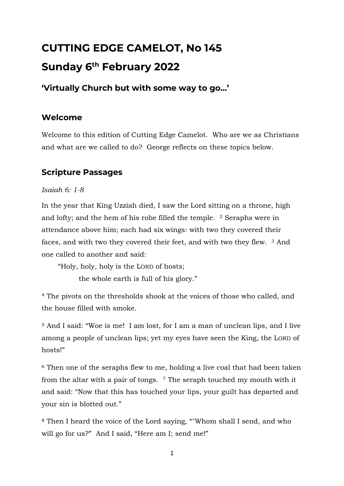# **CUTTING EDGE CAMELOT, No 145 Sunday 6 th February 2022**

# **'Virtually Church but with some way to go…'**

## **Welcome**

Welcome to this edition of Cutting Edge Camelot. Who are we as Christians and what are we called to do? George reflects on these topics below.

# **Scripture Passages**

#### *Isaiah 6: 1-8*

In the year that King Uzziah died, I saw the Lord sitting on a throne, high and lofty; and the hem of his robe filled the temple. <sup>2</sup> Seraphs were in attendance above him; each had six wings: with two they covered their faces, and with two they covered their feet, and with two they flew. <sup>3</sup> And one called to another and said:

"Holy, holy, holy is the LORD of hosts;

the whole earth is full of his glory."

<sup>4</sup> The pivots on the thresholds shook at the voices of those who called, and the house filled with smoke.

<sup>5</sup> And I said: "Woe is me! I am lost, for I am a man of unclean lips, and I live among a people of unclean lips; yet my eyes have seen the King, the LORD of hosts!"

<sup>6</sup> Then one of the seraphs flew to me, holding a live coal that had been taken from the altar with a pair of tongs. <sup>7</sup> The seraph touched my mouth with it and said: "Now that this has touched your lips, your guilt has departed and your sin is blotted out."

<sup>8</sup> Then I heard the voice of the Lord saying, ""Whom shall I send, and who will go for us?" And I said, "Here am I; send me!"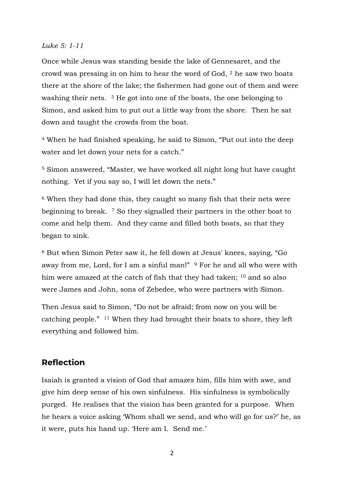#### *Luke 5: 1-11*

Once while Jesus was standing beside the lake of Gennesaret, and the crowd was pressing in on him to hear the word of God, <sup>2</sup> he saw two boats there at the shore of the lake; the fishermen had gone out of them and were washing their nets. <sup>3</sup> He got into one of the boats, the one belonging to Simon, and asked him to put out a little way from the shore. Then he sat down and taught the crowds from the boat.

<sup>4</sup> When he had finished speaking, he said to Simon, "Put out into the deep water and let down your nets for a catch."

<sup>5</sup> Simon answered, "Master, we have worked all night long but have caught nothing. Yet if you say so, I will let down the nets."

<sup>6</sup> When they had done this, they caught so many fish that their nets were beginning to break. <sup>7</sup> So they signalled their partners in the other boat to come and help them. And they came and filled both boats, so that they began to sink.

<sup>8</sup> But when Simon Peter saw it, he fell down at Jesus' knees, saying, "Go away from me, Lord, for I am a sinful man!" <sup>9</sup> For he and all who were with him were amazed at the catch of fish that they had taken; <sup>10</sup> and so also were James and John, sons of Zebedee, who were partners with Simon.

Then Jesus said to Simon, "Do not be afraid; from now on you will be catching people." <sup>11</sup> When they had brought their boats to shore, they left everything and followed him.

#### **Reflection**

Isaiah is granted a vision of God that amazes him, fills him with awe, and give him deep sense of his own sinfulness. His sinfulness is symbolically purged. He realises that the vision has been granted for a purpose. When he hears a voice asking 'Whom shall we send, and who will go for us?' he, as it were, puts his hand up. 'Here am I. Send me.'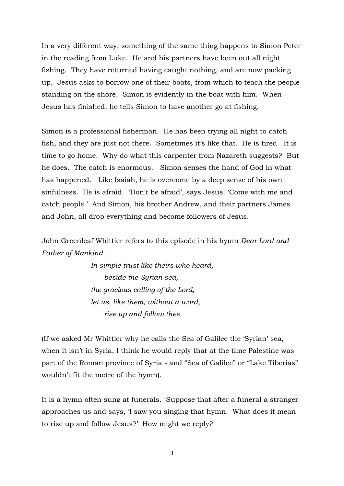In a very different way, something of the same thing happens to Simon Peter in the reading from Luke. He and his partners have been out all night fishing. They have returned having caught nothing, and are now packing up. Jesus asks to borrow one of their boats, from which to teach the people standing on the shore. Simon is evidently in the boat with him. When Jesus has finished, he tells Simon to have another go at fishing.

Simon is a professional fisherman. He has been trying all night to catch fish, and they are just not there. Sometimes it's like that. He is tired. It is time to go home. Why do what this carpenter from Nazareth suggests? But he does. The catch is enormous. Simon senses the hand of God in what has happened. Like Isaiah, he is overcome by a deep sense of his own sinfulness. He is afraid. 'Don't be afraid', says Jesus. 'Come with me and catch people.' And Simon, his brother Andrew, and their partners James and John, all drop everything and become followers of Jesus.

John Greenleaf Whittier refers to this episode in his hymn *Dear Lord and Father of Mankind*.

> *In simple trust like theirs who heard, beside the Syrian sea, the gracious calling of the Lord, let us, like them, without a word, rise up and follow thee.*

(If we asked Mr Whittier why he calls the Sea of Galilee the 'Syrian' sea, when it isn't in Syria, I think he would reply that at the time Palestine was part of the Roman province of Syria - and "Sea of Galilee" or "Lake Tiberias" wouldn't fit the metre of the hymn).

It is a hymn often sung at funerals. Suppose that after a funeral a stranger approaches us and says, 'I saw you singing that hymn. What does it mean to rise up and follow Jesus?' How might we reply?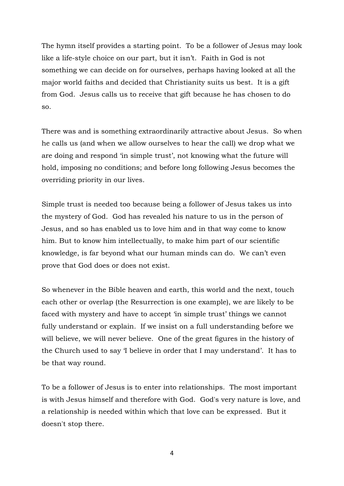The hymn itself provides a starting point. To be a follower of Jesus may look like a life-style choice on our part, but it isn't. Faith in God is not something we can decide on for ourselves, perhaps having looked at all the major world faiths and decided that Christianity suits us best. It is a gift from God. Jesus calls us to receive that gift because he has chosen to do so.

There was and is something extraordinarily attractive about Jesus. So when he calls us (and when we allow ourselves to hear the call) we drop what we are doing and respond 'in simple trust', not knowing what the future will hold, imposing no conditions; and before long following Jesus becomes the overriding priority in our lives.

Simple trust is needed too because being a follower of Jesus takes us into the mystery of God. God has revealed his nature to us in the person of Jesus, and so has enabled us to love him and in that way come to know him. But to know him intellectually, to make him part of our scientific knowledge, is far beyond what our human minds can do. We can't even prove that God does or does not exist.

So whenever in the Bible heaven and earth, this world and the next, touch each other or overlap (the Resurrection is one example), we are likely to be faced with mystery and have to accept 'in simple trust' things we cannot fully understand or explain. If we insist on a full understanding before we will believe, we will never believe. One of the great figures in the history of the Church used to say 'I believe in order that I may understand'. It has to be that way round.

To be a follower of Jesus is to enter into relationships. The most important is with Jesus himself and therefore with God. God's very nature is love, and a relationship is needed within which that love can be expressed. But it doesn't stop there.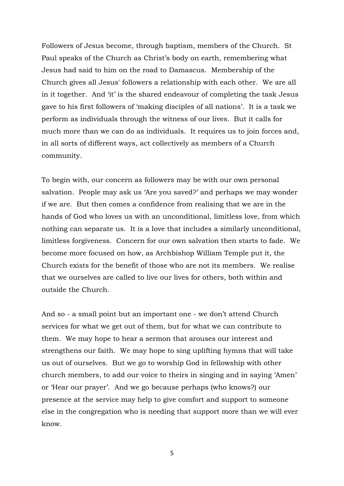Followers of Jesus become, through baptism, members of the Church. St Paul speaks of the Church as Christ's body on earth, remembering what Jesus had said to him on the road to Damascus. Membership of the Church gives all Jesus' followers a relationship with each other. We are all in it together. And 'it' is the shared endeavour of completing the task Jesus gave to his first followers of 'making disciples of all nations'. It is a task we perform as individuals through the witness of our lives. But it calls for much more than we can do as individuals. It requires us to join forces and, in all sorts of different ways, act collectively as members of a Church community.

To begin with, our concern as followers may be with our own personal salvation. People may ask us 'Are you saved?' and perhaps we may wonder if we are. But then comes a confidence from realising that we are in the hands of God who loves us with an unconditional, limitless love, from which nothing can separate us. It is a love that includes a similarly unconditional, limitless forgiveness. Concern for our own salvation then starts to fade. We become more focused on how, as Archbishop William Temple put it, the Church exists for the benefit of those who are not its members. We realise that we ourselves are called to live our lives for others, both within and outside the Church.

And so - a small point but an important one - we don't attend Church services for what we get out of them, but for what we can contribute to them. We may hope to hear a sermon that arouses our interest and strengthens our faith. We may hope to sing uplifting hymns that will take us out of ourselves. But we go to worship God in fellowship with other church members, to add our voice to theirs in singing and in saying 'Amen' or 'Hear our prayer'. And we go because perhaps (who knows?) our presence at the service may help to give comfort and support to someone else in the congregation who is needing that support more than we will ever know.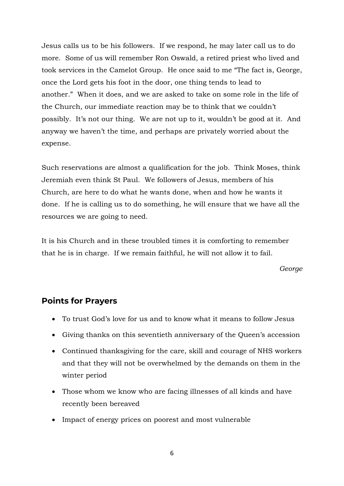Jesus calls us to be his followers. If we respond, he may later call us to do more. Some of us will remember Ron Oswald, a retired priest who lived and took services in the Camelot Group. He once said to me "The fact is, George, once the Lord gets his foot in the door, one thing tends to lead to another." When it does, and we are asked to take on some role in the life of the Church, our immediate reaction may be to think that we couldn't possibly. It's not our thing. We are not up to it, wouldn't be good at it. And anyway we haven't the time, and perhaps are privately worried about the expense.

Such reservations are almost a qualification for the job. Think Moses, think Jeremiah even think St Paul. We followers of Jesus, members of his Church, are here to do what he wants done, when and how he wants it done. If he is calling us to do something, he will ensure that we have all the resources we are going to need.

It is his Church and in these troubled times it is comforting to remember that he is in charge. If we remain faithful, he will not allow it to fail.

*George*

#### **Points for Prayers**

- To trust God's love for us and to know what it means to follow Jesus
- Giving thanks on this seventieth anniversary of the Queen's accession
- Continued thanksgiving for the care, skill and courage of NHS workers and that they will not be overwhelmed by the demands on them in the winter period
- Those whom we know who are facing illnesses of all kinds and have recently been bereaved
- Impact of energy prices on poorest and most vulnerable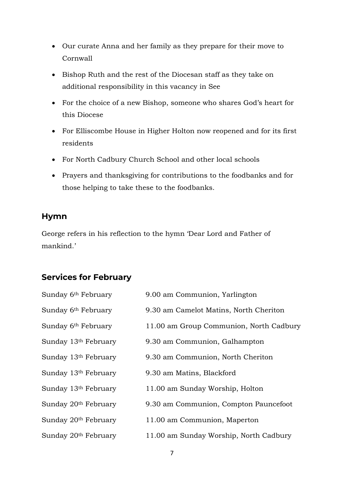- Our curate Anna and her family as they prepare for their move to Cornwall
- Bishop Ruth and the rest of the Diocesan staff as they take on additional responsibility in this vacancy in See
- For the choice of a new Bishop, someone who shares God's heart for this Diocese
- For Elliscombe House in Higher Holton now reopened and for its first residents
- For North Cadbury Church School and other local schools
- Prayers and thanksgiving for contributions to the foodbanks and for those helping to take these to the foodbanks.

#### **Hymn**

George refers in his reflection to the hymn 'Dear Lord and Father of mankind.'

# **Services for February**

| Sunday 6 <sup>th</sup> February  | 9.00 am Communion, Yarlington           |
|----------------------------------|-----------------------------------------|
| Sunday 6 <sup>th</sup> February  | 9.30 am Camelot Matins, North Cheriton  |
| Sunday 6 <sup>th</sup> February  | 11.00 am Group Communion, North Cadbury |
| Sunday 13th February             | 9.30 am Communion, Galhampton           |
| Sunday 13th February             | 9.30 am Communion, North Cheriton       |
| Sunday 13th February             | 9.30 am Matins, Blackford               |
| Sunday 13th February             | 11.00 am Sunday Worship, Holton         |
| Sunday 20 <sup>th</sup> February | 9.30 am Communion, Compton Pauncefoot   |
| Sunday 20 <sup>th</sup> February | 11.00 am Communion, Maperton            |
| Sunday 20th February             | 11.00 am Sunday Worship, North Cadbury  |